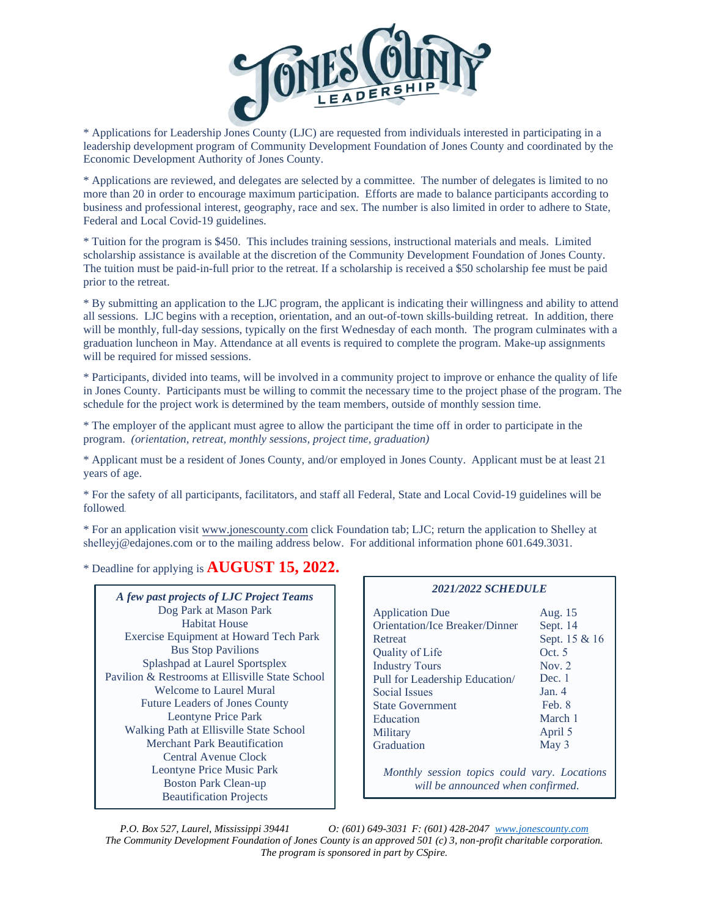

\* Applications for Leadership Jones County (LJC) are requested from individuals interested in participating in a leadership development program of Community Development Foundation of Jones County and coordinated by the Economic Development Authority of Jones County.

\* Applications are reviewed, and delegates are selected by a committee. The number of delegates is limited to no more than 20 in order to encourage maximum participation. Efforts are made to balance participants according to business and professional interest, geography, race and sex. The number is also limited in order to adhere to State, Federal and Local Covid-19 guidelines.

\* Tuition for the program is \$450. This includes training sessions, instructional materials and meals. Limited scholarship assistance is available at the discretion of the Community Development Foundation of Jones County. The tuition must be paid-in-full prior to the retreat. If a scholarship is received a \$50 scholarship fee must be paid prior to the retreat.

\* By submitting an application to the LJC program, the applicant is indicating their willingness and ability to attend all sessions. LJC begins with a reception, orientation, and an out-of-town skills-building retreat. In addition, there will be monthly, full-day sessions, typically on the first Wednesday of each month. The program culminates with a graduation luncheon in May. Attendance at all events is required to complete the program. Make-up assignments will be required for missed sessions.

\* Participants, divided into teams, will be involved in a community project to improve or enhance the quality of life in Jones County. Participants must be willing to commit the necessary time to the project phase of the program. The schedule for the project work is determined by the team members, outside of monthly session time.

\* The employer of the applicant must agree to allow the participant the time off in order to participate in the program. *(orientation, retreat, monthly sessions, project time, graduation)*

\* Applicant must be a resident of Jones County, and/or employed in Jones County. Applicant must be at least 21 years of age.

\* For the safety of all participants, facilitators, and staff all Federal, State and Local Covid-19 guidelines will be followed.

\* For an application visit [www.jonescounty.com](http://www.jonescounty.com/) click Foundation tab; LJC; return the application to Shelley at shelleyj@edajones.com or to the mailing address below. For additional information phone 601.649.3031.

\* Deadline for applying is **AUGUST 15, 2022.**

*A few past projects of LJC Project Teams* Dog Park at Mason Park Habitat House Exercise Equipment at Howard Tech Park Bus Stop Pavilions Splashpad at Laurel Sportsplex Pavilion & Restrooms at Ellisville State School Welcome to Laurel Mural Future Leaders of Jones County Leontyne Price Park Walking Path at Ellisville State School Merchant Park Beautification Central Avenue Clock Leontyne Price Music Park Boston Park Clean-up Beautification Projects

#### *2021/2022 SCHEDULE*

| <b>Application Due</b>                                                            | Aug. 15       |
|-----------------------------------------------------------------------------------|---------------|
| Orientation/Ice Breaker/Dinner                                                    | Sept. 14      |
| Retreat                                                                           | Sept. 15 & 16 |
| Quality of Life                                                                   | Oct. 5        |
| <b>Industry Tours</b>                                                             | Nov. $2$      |
| Pull for Leadership Education/                                                    | Dec. 1        |
| <b>Social Issues</b>                                                              | Jan.4         |
| <b>State Government</b>                                                           | Feb. 8        |
| Education                                                                         | March 1       |
| Military                                                                          | April 5       |
| Graduation                                                                        | May $3$       |
| Monthly session topics could vary. Locations<br>will be announced when confirmed. |               |

*P.O. Box 527, Laurel, Mississippi 39441 O: (601) 649-3031 F: (601) 428-2047 [www.jonescounty.com](http://www.jonescounty.com/) The Community Development Foundation of Jones County is an approved 501 (c) 3, non-profit charitable corporation. The program is sponsored in part by CSpire.*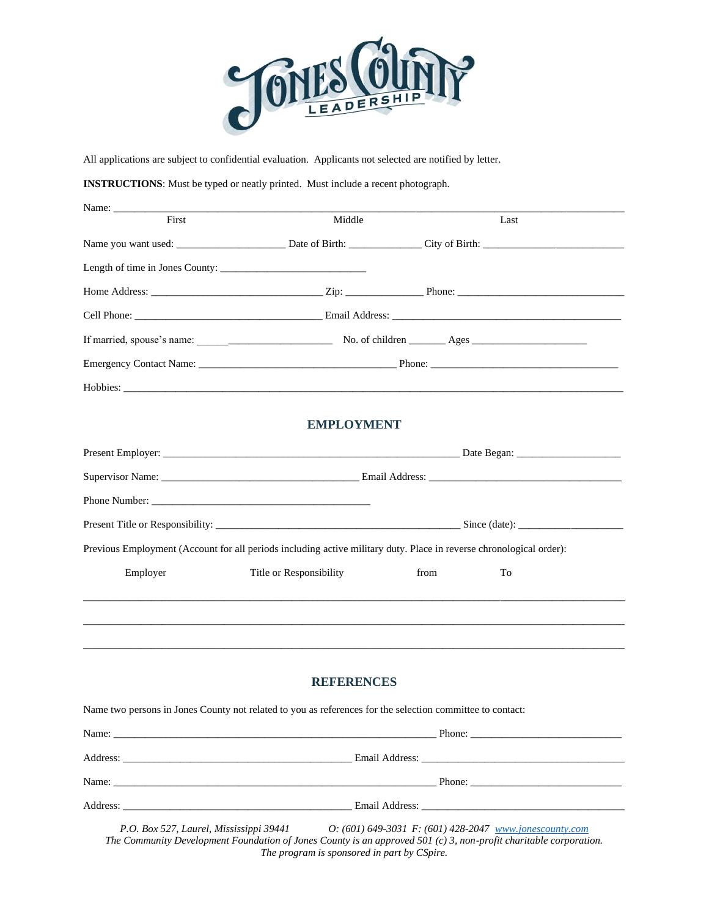

All applications are subject to confidential evaluation. Applicants not selected are notified by letter.

#### **INSTRUCTIONS**: Must be typed or neatly printed. Must include a recent photograph.

| First | Middle | Last |  |
|-------|--------|------|--|
|       |        |      |  |
|       |        |      |  |
|       |        |      |  |
|       |        |      |  |
|       |        |      |  |
|       |        |      |  |
|       |        |      |  |

## **EMPLOYMENT**

| Previous Employment (Account for all periods including active military duty. Place in reverse chronological order): |                         |      |    |  |
|---------------------------------------------------------------------------------------------------------------------|-------------------------|------|----|--|
| Employer                                                                                                            | Title or Responsibility | from | To |  |
|                                                                                                                     |                         |      |    |  |
|                                                                                                                     |                         |      |    |  |
|                                                                                                                     |                         |      |    |  |
|                                                                                                                     | <b>REFERENCES</b>       |      |    |  |
| Name two persons in Jones County not related to you as references for the selection committee to contact:           |                         |      |    |  |
|                                                                                                                     |                         |      |    |  |
|                                                                                                                     |                         |      |    |  |
|                                                                                                                     |                         |      |    |  |
|                                                                                                                     |                         |      |    |  |

*P.O. Box 527, Laurel, Mississippi 39441 O: (601) 649-3031 F: (601) 428-2047 [www.jonescounty.com](http://www.jonescounty.com/) The Community Development Foundation of Jones County is an approved 501 (c) 3, non-profit charitable corporation. The program is sponsored in part by CSpire.*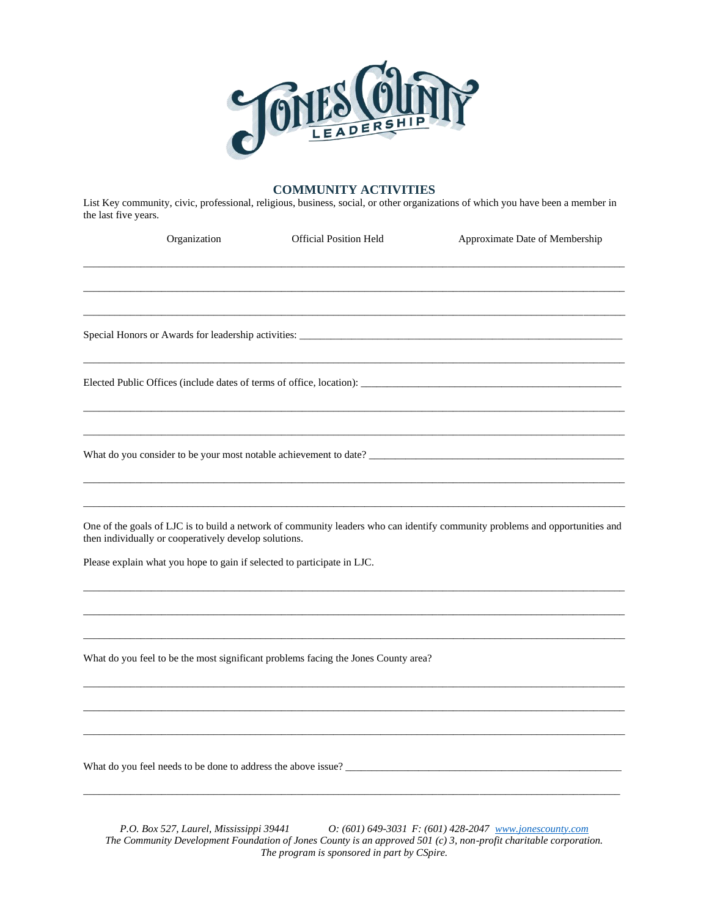

## **COMMUNITY ACTIVITIES**

List Key community, civic, professional, religious, business, social, or other organizations of which you have been a member in the last five years.

| Organization                                                                                                                     | <b>Official Position Held</b> | Approximate Date of Membership                                                                                                                                                                                                        |
|----------------------------------------------------------------------------------------------------------------------------------|-------------------------------|---------------------------------------------------------------------------------------------------------------------------------------------------------------------------------------------------------------------------------------|
|                                                                                                                                  |                               |                                                                                                                                                                                                                                       |
| Special Honors or Awards for leadership activities: _____________________________                                                |                               |                                                                                                                                                                                                                                       |
|                                                                                                                                  |                               |                                                                                                                                                                                                                                       |
|                                                                                                                                  |                               |                                                                                                                                                                                                                                       |
| then individually or cooperatively develop solutions.<br>Please explain what you hope to gain if selected to participate in LJC. |                               | One of the goals of LJC is to build a network of community leaders who can identify community problems and opportunities and                                                                                                          |
|                                                                                                                                  |                               |                                                                                                                                                                                                                                       |
| What do you feel to be the most significant problems facing the Jones County area?                                               |                               |                                                                                                                                                                                                                                       |
|                                                                                                                                  |                               |                                                                                                                                                                                                                                       |
|                                                                                                                                  |                               | What do you feel needs to be done to address the above issue?<br><u>Letting</u> the state of the state of the state of the state of the state of the state of the state of the state of the state of the state of the state of the st |

*P.O. Box 527, Laurel, Mississippi 39441 O: (601) 649-3031 F: (601) 428-2047 [www.jonescounty.com](http://www.jonescounty.com/) The Community Development Foundation of Jones County is an approved 501 (c) 3, non-profit charitable corporation. The program is sponsored in part by CSpire.*